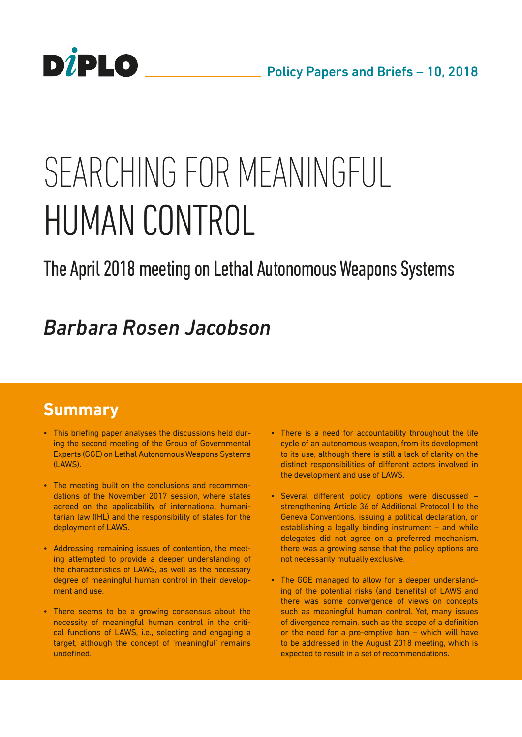

# SFARCHING FOR MFANINGFULL HUMAN CONTROL

# The April 2018 meeting on Lethal Autonomous Weapons Systems

# *Barbara Rosen Jacobson*

# **Summary**

- This briefing paper analyses the discussions held during the second meeting of the Group of Governmental Experts (GGE) on Lethal Autonomous Weapons Systems (LAWS).
- The meeting built on the conclusions and recommendations of the November 2017 session, where states agreed on the applicability of international humanitarian law (IHL) and the responsibility of states for the deployment of LAWS.
- Addressing remaining issues of contention, the meeting attempted to provide a deeper understanding of the characteristics of LAWS, as well as the necessary degree of meaningful human control in their development and use.
- There seems to be a growing consensus about the necessity of meaningful human control in the critical functions of LAWS, i.e., selecting and engaging a target, although the concept of 'meaningful' remains undefined.
- There is a need for accountability throughout the life cycle of an autonomous weapon, from its development to its use, although there is still a lack of clarity on the distinct responsibilities of different actors involved in the development and use of LAWS.
- Several different policy options were discussed strengthening Article 36 of Additional Protocol I to the Geneva Conventions, issuing a political declaration, or establishing a legally binding instrument – and while delegates did not agree on a preferred mechanism, there was a growing sense that the policy options are not necessarily mutually exclusive.
- The GGE managed to allow for a deeper understanding of the potential risks (and benefits) of LAWS and there was some convergence of views on concepts such as meaningful human control. Yet, many issues of divergence remain, such as the scope of a definition or the need for a pre-emptive ban – which will have to be addressed in the August 2018 meeting, which is expected to result in a set of recommendations.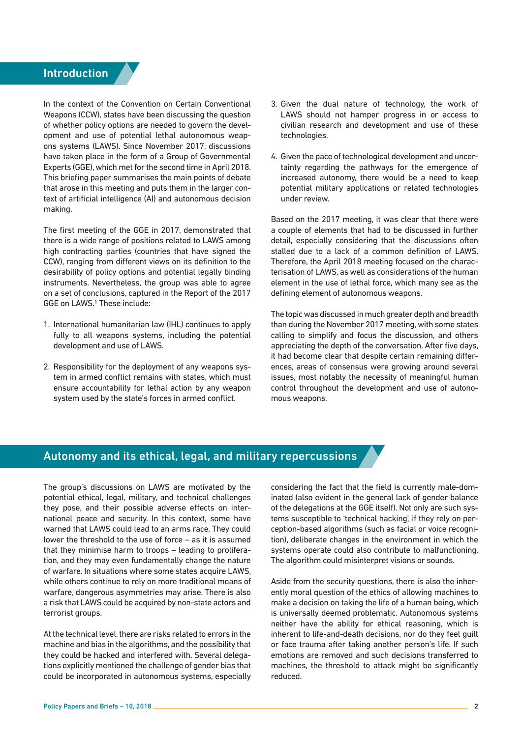# <span id="page-1-0"></span>**Introduction**

In the context of the Convention on Certain Conventional Weapons (CCW), states have been discussing the question of whether policy options are needed to govern the development and use of potential lethal autonomous weapons systems (LAWS). Since November 2017, discussions have taken place in the form of a Group of Governmental Experts (GGE), which met for the second time in April 2018. This briefing paper summarises the main points of debate that arose in this meeting and puts them in the larger context of artificial intelligence (AI) and autonomous decision making.

The first meeting of the GGE in 2017, demonstrated that there is a wide range of positions related to LAWS among high contracting parties (countries that have signed the CCW), ranging from different views on its definition to the desirability of policy options and potential legally binding instruments. Nevertheless, the group was able to agree on a set of conclusions, captured in the Report of the 2017 GGE on LAWS.[1](#page-8-0) These include:

- 1. International humanitarian law (IHL) continues to apply fully to all weapons systems, including the potential development and use of LAWS.
- 2. Responsibility for the deployment of any weapons system in armed conflict remains with states, which must ensure accountability for lethal action by any weapon system used by the state's forces in armed conflict.
- 3. Given the dual nature of technology, the work of LAWS should not hamper progress in or access to civilian research and development and use of these technologies.
- 4. Given the pace of technological development and uncertainty regarding the pathways for the emergence of increased autonomy, there would be a need to keep potential military applications or related technologies under review.

Based on the 2017 meeting, it was clear that there were a couple of elements that had to be discussed in further detail, especially considering that the discussions often stalled due to a lack of a common definition of LAWS. Therefore, the April 2018 meeting focused on the characterisation of LAWS, as well as considerations of the human element in the use of lethal force, which many see as the defining element of autonomous weapons.

The topic was discussed in much greater depth and breadth than during the November 2017 meeting, with some states calling to simplify and focus the discussion, and others appreciating the depth of the conversation. After five days, it had become clear that despite certain remaining differences, areas of consensus were growing around several issues, most notably the necessity of meaningful human control throughout the development and use of autonomous weapons.

# Autonomy and its ethical, legal, and military repercussions

The group's discussions on LAWS are motivated by the potential ethical, legal, military, and technical challenges they pose, and their possible adverse effects on international peace and security. In this context, some have warned that LAWS could lead to an arms race. They could lower the threshold to the use of force – as it is assumed that they minimise harm to troops – leading to proliferation, and they may even fundamentally change the nature of warfare. In situations where some states acquire LAWS, while others continue to rely on more traditional means of warfare, dangerous asymmetries may arise. There is also a risk that LAWS could be acquired by non-state actors and terrorist groups.

At the technical level, there are risks related to errors in the machine and bias in the algorithms, and the possibility that they could be hacked and interfered with. Several delegations explicitly mentioned the challenge of gender bias that could be incorporated in autonomous systems, especially

considering the fact that the field is currently male-dominated (also evident in the general lack of gender balance of the delegations at the GGE itself). Not only are such systems susceptible to 'technical hacking', if they rely on perception-based algorithms (such as facial or voice recognition), deliberate changes in the environment in which the systems operate could also contribute to malfunctioning. The algorithm could misinterpret visions or sounds.

Aside from the security questions, there is also the inherently moral question of the ethics of allowing machines to make a decision on taking the life of a human being, which is universally deemed problematic. Autonomous systems neither have the ability for ethical reasoning, which is inherent to life-and-death decisions, nor do they feel guilt or face trauma after taking another person's life. If such emotions are removed and such decisions transferred to machines, the threshold to attack might be significantly reduced.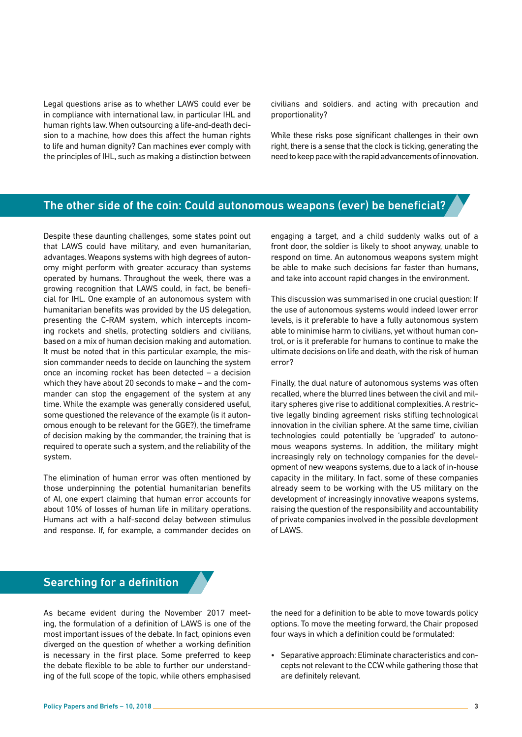Legal questions arise as to whether LAWS could ever be in compliance with international law, in particular IHL and human rights law. When outsourcing a life-and-death decision to a machine, how does this affect the human rights to life and human dignity? Can machines ever comply with the principles of IHL, such as making a distinction between civilians and soldiers, and acting with precaution and proportionality?

While these risks pose significant challenges in their own right, there is a sense that the clock is ticking, generating the need to keep pace with the rapid advancements of innovation.

# The other side of the coin: Could autonomous weapons (ever) be beneficial?

Despite these daunting challenges, some states point out that LAWS could have military, and even humanitarian, advantages. Weapons systems with high degrees of autonomy might perform with greater accuracy than systems operated by humans. Throughout the week, there was a growing recognition that LAWS could, in fact, be beneficial for IHL. One example of an autonomous system with humanitarian benefits was provided by the US delegation, presenting the C-RAM system, which intercepts incoming rockets and shells, protecting soldiers and civilians, based on a mix of human decision making and automation. It must be noted that in this particular example, the mission commander needs to decide on launching the system once an incoming rocket has been detected – a decision which they have about 20 seconds to make – and the commander can stop the engagement of the system at any time. While the example was generally considered useful, some questioned the relevance of the example (is it autonomous enough to be relevant for the GGE?), the timeframe of decision making by the commander, the training that is required to operate such a system, and the reliability of the system.

The elimination of human error was often mentioned by those underpinning the potential humanitarian benefits of AI, one expert claiming that human error accounts for about 10% of losses of human life in military operations. Humans act with a half-second delay between stimulus and response. If, for example, a commander decides on engaging a target, and a child suddenly walks out of a front door, the soldier is likely to shoot anyway, unable to respond on time. An autonomous weapons system might be able to make such decisions far faster than humans, and take into account rapid changes in the environment.

This discussion was summarised in one crucial question: If the use of autonomous systems would indeed lower error levels, is it preferable to have a fully autonomous system able to minimise harm to civilians, yet without human control, or is it preferable for humans to continue to make the ultimate decisions on life and death, with the risk of human error?

Finally, the dual nature of autonomous systems was often recalled, where the blurred lines between the civil and military spheres give rise to additional complexities. A restrictive legally binding agreement risks stifling technological innovation in the civilian sphere. At the same time, civilian technologies could potentially be 'upgraded' to autonomous weapons systems. In addition, the military might increasingly rely on technology companies for the development of new weapons systems, due to a lack of in-house capacity in the military. In fact, some of these companies already seem to be working with the US military on the development of increasingly innovative weapons systems, raising the question of the responsibility and accountability of private companies involved in the possible development of LAWS.

## Searching for a definition

As became evident during the November 2017 meeting, the formulation of a definition of LAWS is one of the most important issues of the debate. In fact, opinions even diverged on the question of whether a working definition is necessary in the first place. Some preferred to keep the debate flexible to be able to further our understanding of the full scope of the topic, while others emphasised

the need for a definition to be able to move towards policy options. To move the meeting forward, the Chair proposed four ways in which a definition could be formulated:

• Separative approach: Eliminate characteristics and concepts not relevant to the CCW while gathering those that are definitely relevant.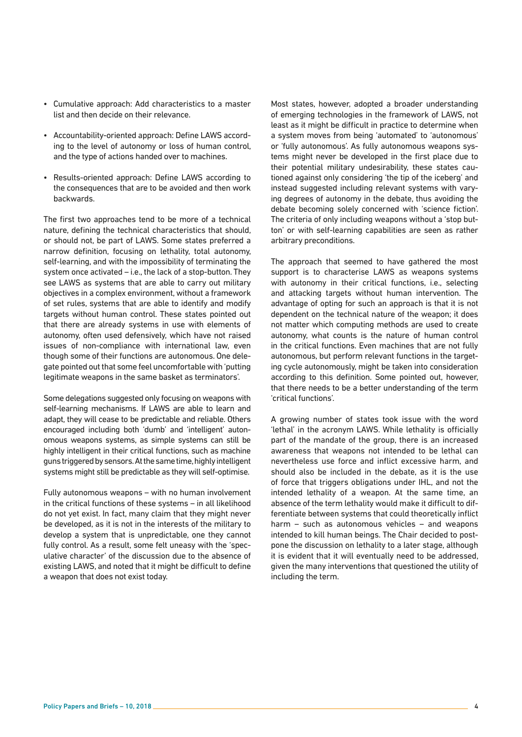- Cumulative approach: Add characteristics to a master list and then decide on their relevance.
- Accountability-oriented approach: Define LAWS according to the level of autonomy or loss of human control, and the type of actions handed over to machines.
- Results-oriented approach: Define LAWS according to the consequences that are to be avoided and then work backwards.

The first two approaches tend to be more of a technical nature, defining the technical characteristics that should, or should not, be part of LAWS. Some states preferred a narrow definition, focusing on lethality, total autonomy, self-learning, and with the impossibility of terminating the system once activated – i.e., the lack of a stop-button. They see LAWS as systems that are able to carry out military objectives in a complex environment, without a framework of set rules, systems that are able to identify and modify targets without human control. These states pointed out that there are already systems in use with elements of autonomy, often used defensively, which have not raised issues of non-compliance with international law, even though some of their functions are autonomous. One delegate pointed out that some feel uncomfortable with 'putting legitimate weapons in the same basket as terminators'.

Some delegations suggested only focusing on weapons with self-learning mechanisms. If LAWS are able to learn and adapt, they will cease to be predictable and reliable. Others encouraged including both 'dumb' and 'intelligent' autonomous weapons systems, as simple systems can still be highly intelligent in their critical functions, such as machine guns triggered by sensors. At the same time, highly intelligent systems might still be predictable as they will self-optimise.

Fully autonomous weapons – with no human involvement in the critical functions of these systems – in all likelihood do not yet exist. In fact, many claim that they might never be developed, as it is not in the interests of the military to develop a system that is unpredictable, one they cannot fully control. As a result, some felt uneasy with the 'speculative character' of the discussion due to the absence of existing LAWS, and noted that it might be difficult to define a weapon that does not exist today.

Most states, however, adopted a broader understanding of emerging technologies in the framework of LAWS, not least as it might be difficult in practice to determine when a system moves from being 'automated' to 'autonomous' or 'fully autonomous'. As fully autonomous weapons systems might never be developed in the first place due to their potential military undesirability, these states cautioned against only considering 'the tip of the iceberg' and instead suggested including relevant systems with varying degrees of autonomy in the debate, thus avoiding the debate becoming solely concerned with 'science fiction'. The criteria of only including weapons without a 'stop button' or with self-learning capabilities are seen as rather arbitrary preconditions.

The approach that seemed to have gathered the most support is to characterise LAWS as weapons systems with autonomy in their critical functions, i.e., selecting and attacking targets without human intervention. The advantage of opting for such an approach is that it is not dependent on the technical nature of the weapon; it does not matter which computing methods are used to create autonomy, what counts is the nature of human control in the critical functions. Even machines that are not fully autonomous, but perform relevant functions in the targeting cycle autonomously, might be taken into consideration according to this definition. Some pointed out, however, that there needs to be a better understanding of the term 'critical functions'.

A growing number of states took issue with the word 'lethal' in the acronym LAWS. While lethality is officially part of the mandate of the group, there is an increased awareness that weapons not intended to be lethal can nevertheless use force and inflict excessive harm, and should also be included in the debate, as it is the use of force that triggers obligations under IHL, and not the intended lethality of a weapon. At the same time, an absence of the term lethality would make it difficult to differentiate between systems that could theoretically inflict harm – such as autonomous vehicles – and weapons intended to kill human beings. The Chair decided to postpone the discussion on lethality to a later stage, although it is evident that it will eventually need to be addressed, given the many interventions that questioned the utility of including the term.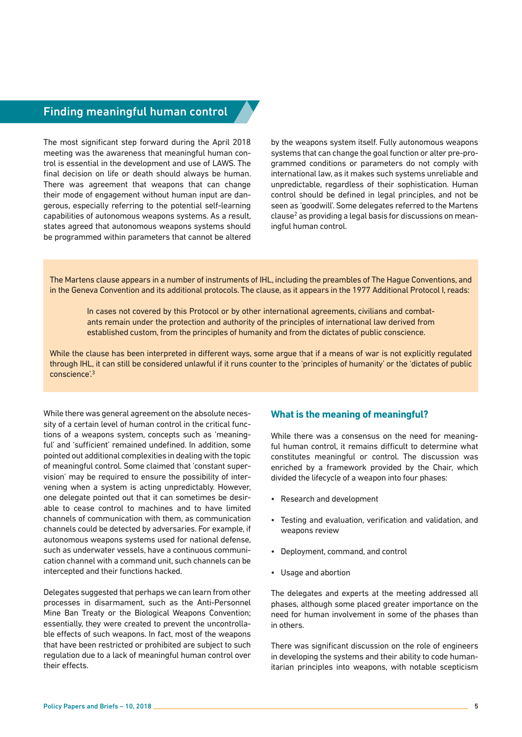# <span id="page-4-0"></span>Finding meaningful human control

The most significant step forward during the April 2018 meeting was the awareness that meaningful human control is essential in the development and use of LAWS. The final decision on life or death should always be human. There was agreement that weapons that can change their mode of engagement without human input are dangerous, especially referring to the potential self-learning capabilities of autonomous weapons systems. As a result, states agreed that autonomous weapons systems should be programmed within parameters that cannot be altered

by the weapons system itself. Fully autonomous weapons systems that can change the goal function or alter pre-programmed conditions or parameters do not comply with international law, as it makes such systems unreliable and unpredictable, regardless of their sophistication. Human control should be defined in legal principles, and not be seen as 'goodwill'. Some delegates referred to the Martens clause[2](#page-8-0) as providing a legal basis for discussions on meaningful human control.

The Martens clause appears in a number of instruments of IHL, including the preambles of The Hague Conventions, and in the Geneva Convention and its additional protocols. The clause, as it appears in the 1977 Additional Protocol I, reads:

In cases not covered by this Protocol or by other international agreements, civilians and combatants remain under the protection and authority of the principles of international law derived from established custom, from the principles of humanity and from the dictates of public conscience.

While the clause has been interpreted in different ways, some argue that if a means of war is not explicitly regulated through IHL, it can still be considered unlawful if it runs counter to the 'principles of humanity' or the 'dictates of public conscience'[.3](#page-8-0)

While there was general agreement on the absolute necessity of a certain level of human control in the critical functions of a weapons system, concepts such as 'meaningful' and 'sufficient' remained undefined. In addition, some pointed out additional complexities in dealing with the topic of meaningful control. Some claimed that 'constant supervision' may be required to ensure the possibility of intervening when a system is acting unpredictably. However, one delegate pointed out that it can sometimes be desirable to cease control to machines and to have limited channels of communication with them, as communication channels could be detected by adversaries. For example, if autonomous weapons systems used for national defense, such as underwater vessels, have a continuous communication channel with a command unit, such channels can be intercepted and their functions hacked.

Delegates suggested that perhaps we can learn from other processes in disarmament, such as the Anti-Personnel Mine Ban Treaty or the Biological Weapons Convention; essentially, they were created to prevent the uncontrollable effects of such weapons. In fact, most of the weapons that have been restricted or prohibited are subject to such regulation due to a lack of meaningful human control over their effects.

#### **What is the meaning of meaningful?**

While there was a consensus on the need for meaningful human control, it remains difficult to determine what constitutes meaningful or control. The discussion was enriched by a framework provided by the Chair, which divided the lifecycle of a weapon into four phases:

- Research and development
- Testing and evaluation, verification and validation, and weapons review
- Deployment, command, and control
- Usage and abortion

The delegates and experts at the meeting addressed all phases, although some placed greater importance on the need for human involvement in some of the phases than in others.

There was significant discussion on the role of engineers in developing the systems and their ability to code humanitarian principles into weapons, with notable scepticism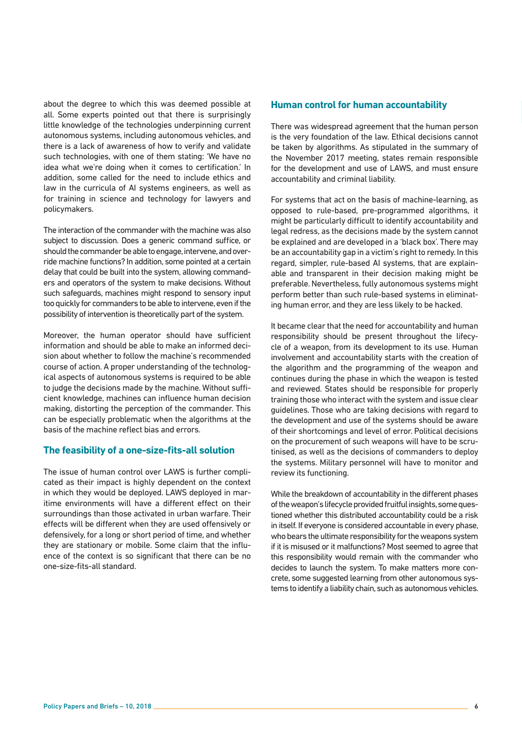about the degree to which this was deemed possible at all. Some experts pointed out that there is surprisingly little knowledge of the technologies underpinning current autonomous systems, including autonomous vehicles, and there is a lack of awareness of how to verify and validate such technologies, with one of them stating: 'We have no idea what we're doing when it comes to certification.' In addition, some called for the need to include ethics and law in the curricula of AI systems engineers, as well as for training in science and technology for lawyers and policymakers.

The interaction of the commander with the machine was also subject to discussion. Does a generic command suffice, or should the commander be able to engage, intervene, and override machine functions? In addition, some pointed at a certain delay that could be built into the system, allowing commanders and operators of the system to make decisions. Without such safeguards, machines might respond to sensory input too quickly for commanders to be able to intervene, even if the possibility of intervention is theoretically part of the system.

Moreover, the human operator should have sufficient information and should be able to make an informed decision about whether to follow the machine's recommended course of action. A proper understanding of the technological aspects of autonomous systems is required to be able to judge the decisions made by the machine. Without sufficient knowledge, machines can influence human decision making, distorting the perception of the commander. This can be especially problematic when the algorithms at the basis of the machine reflect bias and errors.

#### **The feasibility of a one-size-fits-all solution**

The issue of human control over LAWS is further complicated as their impact is highly dependent on the context in which they would be deployed. LAWS deployed in maritime environments will have a different effect on their surroundings than those activated in urban warfare. Their effects will be different when they are used offensively or defensively, for a long or short period of time, and whether they are stationary or mobile. Some claim that the influence of the context is so significant that there can be no one-size-fits-all standard.

#### **Human control for human accountability**

There was widespread agreement that the human person is the very foundation of the law. Ethical decisions cannot be taken by algorithms. As stipulated in the summary of the November 2017 meeting, states remain responsible for the development and use of LAWS, and must ensure accountability and criminal liability.

For systems that act on the basis of machine-learning, as opposed to rule-based, pre-programmed algorithms, it might be particularly difficult to identify accountability and legal redress, as the decisions made by the system cannot be explained and are developed in a 'black box'. There may be an accountability gap in a victim's right to remedy. In this regard, simpler, rule-based AI systems, that are explainable and transparent in their decision making might be preferable. Nevertheless, fully autonomous systems might perform better than such rule-based systems in eliminating human error, and they are less likely to be hacked.

It became clear that the need for accountability and human responsibility should be present throughout the lifecycle of a weapon, from its development to its use. Human involvement and accountability starts with the creation of the algorithm and the programming of the weapon and continues during the phase in which the weapon is tested and reviewed. States should be responsible for properly training those who interact with the system and issue clear guidelines. Those who are taking decisions with regard to the development and use of the systems should be aware of their shortcomings and level of error. Political decisions on the procurement of such weapons will have to be scrutinised, as well as the decisions of commanders to deploy the systems. Military personnel will have to monitor and review its functioning.

While the breakdown of accountability in the different phases of the weapon's lifecycle provided fruitful insights, some questioned whether this distributed accountability could be a risk in itself. If everyone is considered accountable in every phase, who bears the ultimate responsibility for the weapons system if it is misused or it malfunctions? Most seemed to agree that this responsibility would remain with the commander who decides to launch the system. To make matters more concrete, some suggested learning from other autonomous systems to identify a liability chain, such as autonomous vehicles.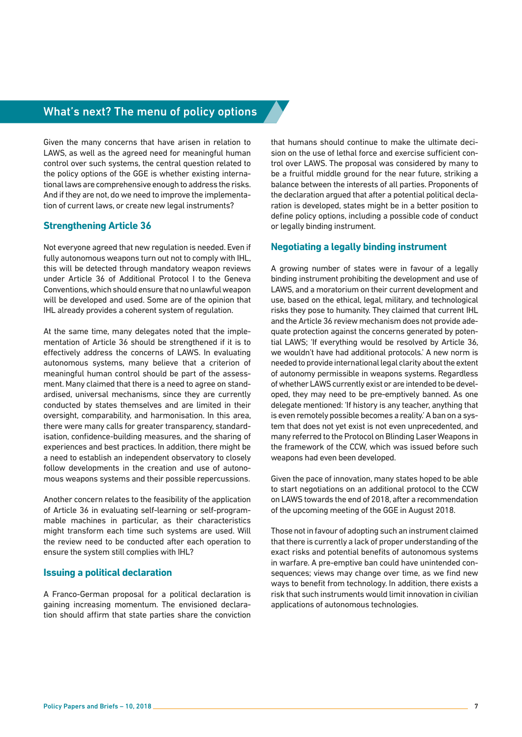# What's next? The menu of policy options

Given the many concerns that have arisen in relation to LAWS, as well as the agreed need for meaningful human control over such systems, the central question related to the policy options of the GGE is whether existing international laws are comprehensive enough to address the risks. And if they are not, do we need to improve the implementation of current laws, or create new legal instruments?

#### **Strengthening Article 36**

Not everyone agreed that new regulation is needed. Even if fully autonomous weapons turn out not to comply with IHL, this will be detected through mandatory weapon reviews under Article 36 of Additional Protocol I to the Geneva Conventions, which should ensure that no unlawful weapon will be developed and used. Some are of the opinion that IHL already provides a coherent system of regulation.

At the same time, many delegates noted that the implementation of Article 36 should be strengthened if it is to effectively address the concerns of LAWS. In evaluating autonomous systems, many believe that a criterion of meaningful human control should be part of the assessment. Many claimed that there is a need to agree on standardised, universal mechanisms, since they are currently conducted by states themselves and are limited in their oversight, comparability, and harmonisation. In this area, there were many calls for greater transparency, standardisation, confidence-building measures, and the sharing of experiences and best practices. In addition, there might be a need to establish an independent observatory to closely follow developments in the creation and use of autonomous weapons systems and their possible repercussions.

Another concern relates to the feasibility of the application of Article 36 in evaluating self-learning or self-programmable machines in particular, as their characteristics might transform each time such systems are used. Will the review need to be conducted after each operation to ensure the system still complies with IHL?

#### **Issuing a political declaration**

A Franco-German proposal for a political declaration is gaining increasing momentum. The envisioned declaration should affirm that state parties share the conviction that humans should continue to make the ultimate decision on the use of lethal force and exercise sufficient control over LAWS. The proposal was considered by many to be a fruitful middle ground for the near future, striking a balance between the interests of all parties. Proponents of the declaration argued that after a potential political declaration is developed, states might be in a better position to define policy options, including a possible code of conduct or legally binding instrument.

#### **Negotiating a legally binding instrument**

A growing number of states were in favour of a legally binding instrument prohibiting the development and use of LAWS, and a moratorium on their current development and use, based on the ethical, legal, military, and technological risks they pose to humanity. They claimed that current IHL and the Article 36 review mechanism does not provide adequate protection against the concerns generated by potential LAWS; 'If everything would be resolved by Article 36, we wouldn't have had additional protocols.' A new norm is needed to provide international legal clarity about the extent of autonomy permissible in weapons systems. Regardless of whether LAWS currently exist or are intended to be developed, they may need to be pre-emptively banned. As one delegate mentioned: 'If history is any teacher, anything that is even remotely possible becomes a reality.' A ban on a system that does not yet exist is not even unprecedented, and many referred to the Protocol on Blinding Laser Weapons in the framework of the CCW, which was issued before such weapons had even been developed.

Given the pace of innovation, many states hoped to be able to start negotiations on an additional protocol to the CCW on LAWS towards the end of 2018, after a recommendation of the upcoming meeting of the GGE in August 2018.

Those not in favour of adopting such an instrument claimed that there is currently a lack of proper understanding of the exact risks and potential benefits of autonomous systems in warfare. A pre-emptive ban could have unintended consequences; views may change over time, as we find new ways to benefit from technology. In addition, there exists a risk that such instruments would limit innovation in civilian applications of autonomous technologies.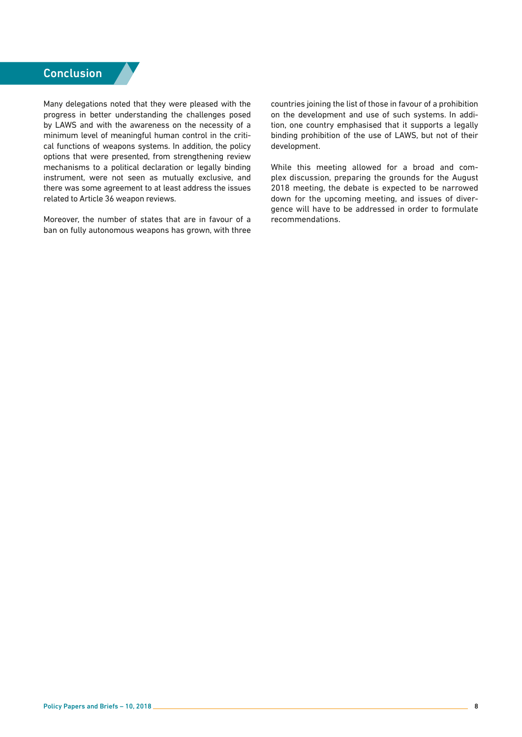# **Conclusion**

Many delegations noted that they were pleased with the progress in better understanding the challenges posed by LAWS and with the awareness on the necessity of a minimum level of meaningful human control in the critical functions of weapons systems. In addition, the policy options that were presented, from strengthening review mechanisms to a political declaration or legally binding instrument, were not seen as mutually exclusive, and there was some agreement to at least address the issues related to Article 36 weapon reviews.

Moreover, the number of states that are in favour of a ban on fully autonomous weapons has grown, with three countries joining the list of those in favour of a prohibition on the development and use of such systems. In addition, one country emphasised that it supports a legally binding prohibition of the use of LAWS, but not of their development.

While this meeting allowed for a broad and complex discussion, preparing the grounds for the August 2018 meeting, the debate is expected to be narrowed down for the upcoming meeting, and issues of divergence will have to be addressed in order to formulate recommendations.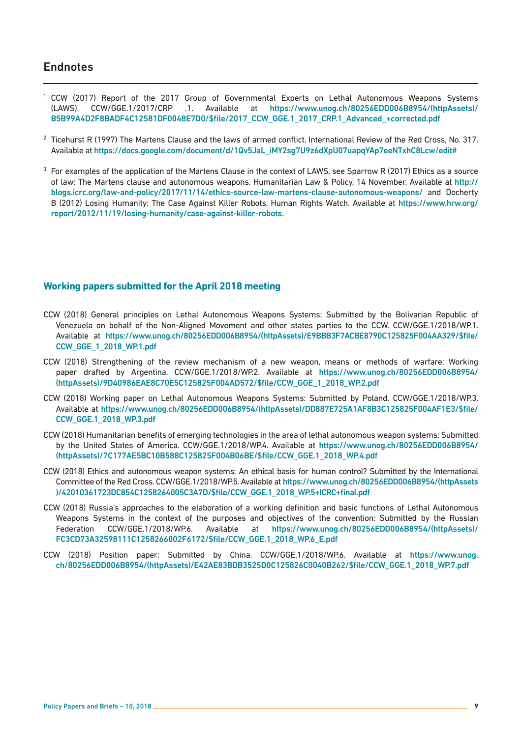## <span id="page-8-0"></span>**Endnotes**

- [1](#page-1-0) CCW (2017) Report of the 2017 Group of Governmental Experts on Lethal Autonomous Weapons Systems (LAWS). CCW/GGE.1/2017/CRP .1. Available at [https://www.unog.ch/80256EDD006B8954/\(httpAssets\)/](https://www.unog.ch/80256EDD006B8954/(httpAssets)/B5B99A4D2F8BADF4C12581DF0048E7D0/$file/2017_CCW_GGE.1_2017_CRP.1_Advanced_+corrected.pdf) [B5B99A4D2F8BADF4C12581DF0048E7D0/\\$file/2017\\_CCW\\_GGE.1\\_2017\\_CRP.1\\_Advanced\\_+corrected.pdf](https://www.unog.ch/80256EDD006B8954/(httpAssets)/B5B99A4D2F8BADF4C12581DF0048E7D0/$file/2017_CCW_GGE.1_2017_CRP.1_Advanced_+corrected.pdf)
- $2$  Ticehurst R (1997) The Martens Clause and the laws of armed conflict. International Review of the Red Cross, No. 317. Available at [https://docs.google.com/document/d/1Qv5JaL\\_iMY2sg7U9z6dXpU07uapqYAp7eeNTxhC8Lcw/edit#](https://docs.google.com/document/d/1Qv5JaL_iMY2sg7U9z6dXpU07uapqYAp7eeNTxhC8Lcw/edit#)
- <sup>[3](#page-4-0)</sup> For examples of the application of the Martens Clause in the context of LAWS, see Sparrow R (2017) Ethics as a source of law: The Martens clause and autonomous weapons. Humanitarian Law & Policy, 14 November. Available at [http://](http://blogs.icrc.org/law-and-policy/2017/11/14/ethics-source-law-martens-clause-autonomous-weapons/) [blogs.icrc.org/law-and-policy/2017/11/14/ethics-source-law-martens-clause-autonomous-weapons/](http://blogs.icrc.org/law-and-policy/2017/11/14/ethics-source-law-martens-clause-autonomous-weapons/) and Docherty B (2012) Losing Humanity: The Case Against Killer Robots. Human Rights Watch. Available at [https://www.hrw.org/](https://www.hrw.org/report/2012/11/19/losing-humanity/case-against-killer-robots.) [report/2012/11/19/losing-humanity/case-against-killer-robots.](https://www.hrw.org/report/2012/11/19/losing-humanity/case-against-killer-robots.)

#### **Working papers submitted for the April 2018 meeting**

- CCW (2018) General principles on Lethal Autonomous Weapons Systems: Submitted by the Bolivarian Republic of Venezuela on behalf of the Non-Aligned Movement and other states parties to the CCW. CCW/GGE.1/2018/WP.1. Available at [https://www.unog.ch/80256EDD006B8954/\(httpAssets\)/E9BBB3F7ACBE8790C125825F004AA329/\\$file/](https://www.unog.ch/80256EDD006B8954/(httpAssets)/E9BBB3F7ACBE8790C125825F004AA329/$file/CCW_GGE_1_2018_WP.1.pdf) [CCW\\_GGE\\_1\\_2018\\_WP.1.pdf](https://www.unog.ch/80256EDD006B8954/(httpAssets)/E9BBB3F7ACBE8790C125825F004AA329/$file/CCW_GGE_1_2018_WP.1.pdf)
- CCW (2018) Strengthening of the review mechanism of a new weapon, means or methods of warfare: Working paper drafted by Argentina. CCW/GGE.1/2018/WP.2. Available at [https://www.unog.ch/80256EDD006B8954/](https://www.unog.ch/80256EDD006B8954/(httpAssets)/9D40986EAE8C70E5C125825F004AD572/$file/CCW_GGE_1_2018_WP.2.pdf) [\(httpAssets\)/9D40986EAE8C70E5C125825F004AD572/\\$file/CCW\\_GGE\\_1\\_2018\\_WP.2.pdf](https://www.unog.ch/80256EDD006B8954/(httpAssets)/9D40986EAE8C70E5C125825F004AD572/$file/CCW_GGE_1_2018_WP.2.pdf)
- CCW (2018) Working paper on Lethal Autonomous Weapons Systems: Submitted by Poland. CCW/GGE.1/2018/WP.3. Available at [https://www.unog.ch/80256EDD006B8954/\(httpAssets\)/DD887E725A1AF8B3C125825F004AF1E3/\\$file/](https://www.unog.ch/80256EDD006B8954/(httpAssets)/DD887E725A1AF8B3C125825F004AF1E3/$file/CCW_GGE.1_2018_WP.3.pdf) [CCW\\_GGE.1\\_2018\\_WP.3.pdf](https://www.unog.ch/80256EDD006B8954/(httpAssets)/DD887E725A1AF8B3C125825F004AF1E3/$file/CCW_GGE.1_2018_WP.3.pdf)
- CCW (2018) Humanitarian benefits of emerging technologies in the area of lethal autonomous weapon systems: Submitted by the United States of America. CCW/GGE.1/2018/WP.4. Available at [https://www.unog.ch/80256EDD006B8954/](https://www.unog.ch/80256EDD006B8954/(httpAssets)/7C177AE5BC10B588C125825F004B06BE/$file/CCW_GGE.1_2018_WP.4.pdf) [\(httpAssets\)/7C177AE5BC10B588C125825F004B06BE/\\$file/CCW\\_GGE.1\\_2018\\_WP.4.pdf](https://www.unog.ch/80256EDD006B8954/(httpAssets)/7C177AE5BC10B588C125825F004B06BE/$file/CCW_GGE.1_2018_WP.4.pdf)
- CCW (2018) Ethics and autonomous weapon systems: An ethical basis for human control? Submitted by the International Committee of the Red Cross. CCW/GGE.1/2018/WP.5. Available at [https://www.unog.ch/80256EDD006B8954/\(httpAssets](https://www.unog.ch/80256EDD006B8954/(httpAssets)/42010361723DC854C1258264005C3A7D/$file/CCW_GGE.1_2018_WP.5+ICRC+final.pdf) [\)/42010361723DC854C1258264005C3A7D/\\$file/CCW\\_GGE.1\\_2018\\_WP.5+ICRC+final.pdf](https://www.unog.ch/80256EDD006B8954/(httpAssets)/42010361723DC854C1258264005C3A7D/$file/CCW_GGE.1_2018_WP.5+ICRC+final.pdf)
- CCW (2018) Russia's approaches to the elaboration of a working definition and basic functions of Lethal Autonomous Weapons Systems in the context of the purposes and objectives of the convention: Submitted by the Russian Federation CCW/GGE.1/2018/WP.6. Available at [https://www.unog.ch/80256EDD006B8954/\(httpAssets\)/](https://www.unog.ch/80256EDD006B8954/(httpAssets)/FC3CD73A32598111C1258266002F6172/$file/CCW_GGE.1_2018_WP.6_E.pdf) [FC3CD73A32598111C1258266002F6172/\\$file/CCW\\_GGE.1\\_2018\\_WP.6\\_E.pdf](https://www.unog.ch/80256EDD006B8954/(httpAssets)/FC3CD73A32598111C1258266002F6172/$file/CCW_GGE.1_2018_WP.6_E.pdf)
- CCW (2018) Position paper: Submitted by China. CCW/GGE.1/2018/WP.6. Available at [https://www.unog.](https://www.unog.ch/80256EDD006B8954/(httpAssets)/E42AE83BDB3525D0C125826C0040B262/$file/CCW_GGE.1_2018_WP.7.pdf) [ch/80256EDD006B8954/\(httpAssets\)/E42AE83BDB3525D0C125826C0040B262/\\$file/CCW\\_GGE.1\\_2018\\_WP.7.pdf](https://www.unog.ch/80256EDD006B8954/(httpAssets)/E42AE83BDB3525D0C125826C0040B262/$file/CCW_GGE.1_2018_WP.7.pdf)